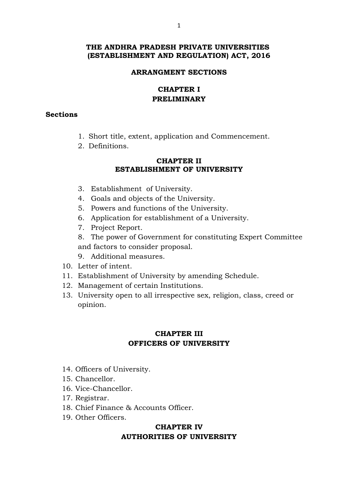## **THE ANDHRA PRADESH PRIVATE UNIVERSITIES (ESTABLISHMENT AND REGULATION) ACT, 2016**

#### **ARRANGMENT SECTIONS**

## **CHAPTER I PRELIMINARY**

#### **Sections**

- 1. Short title, extent, application and Commencement.
- 2. Definitions.

## **CHAPTER II ESTABLISHMENT OF UNIVERSITY**

- 3. Establishment of University.
- 4. Goals and objects of the University.
- 5. Powers and functions of the University.
- 6. Application for establishment of a University.
- 7. Project Report.
- 8. The power of Government for constituting Expert Committee and factors to consider proposal.
- 9. Additional measures.
- 10. Letter of intent.
- 11. Establishment of University by amending Schedule.
- 12. Management of certain Institutions.
- 13. University open to all irrespective sex, religion, class, creed or opinion.

## **CHAPTER III OFFICERS OF UNIVERSITY**

- 14. Officers of University.
- 15. Chancellor.
- 16. Vice-Chancellor.
- 17. Registrar.
- 18. Chief Finance & Accounts Officer.
- 19. Other Officers.

## **CHAPTER IV AUTHORITIES OF UNIVERSITY**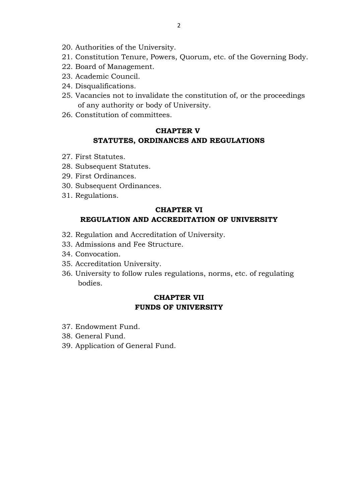- 20. Authorities of the University.
- 21. Constitution Tenure, Powers, Quorum, etc. of the Governing Body.
- 22. Board of Management.
- 23. Academic Council.
- 24. Disqualifications.
- 25. Vacancies not to invalidate the constitution of, or the proceedings of any authority or body of University.
- 26. Constitution of committees.

# **CHAPTER V STATUTES, ORDINANCES AND REGULATIONS**

- 27. First Statutes.
- 28. Subsequent Statutes.
- 29. First Ordinances.
- 30. Subsequent Ordinances.
- 31. Regulations.

# **CHAPTER VI REGULATION AND ACCREDITATION OF UNIVERSITY**

- 32. Regulation and Accreditation of University.
- 33. Admissions and Fee Structure.
- 34. Convocation.
- 35. Accreditation University.
- 36. University to follow rules regulations, norms, etc. of regulating bodies.

# **CHAPTER VII FUNDS OF UNIVERSITY**

- 37. Endowment Fund.
- 38. General Fund.
- 39. Application of General Fund.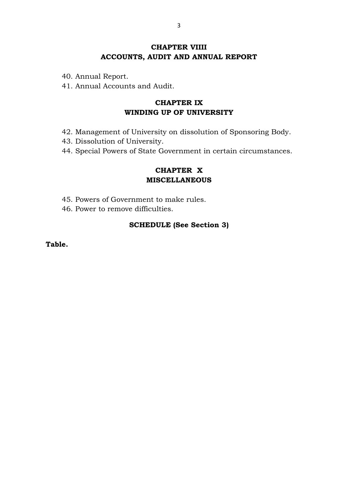# **CHAPTER VIIII ACCOUNTS, AUDIT AND ANNUAL REPORT**

- 40. Annual Report.
- 41. Annual Accounts and Audit.

# **CHAPTER IX WINDING UP OF UNIVERSITY**

- 42. Management of University on dissolution of Sponsoring Body.
- 43. Dissolution of University.
- 44. Special Powers of State Government in certain circumstances.

## **CHAPTER X MISCELLANEOUS**

- 45. Powers of Government to make rules.
- 46. Power to remove difficulties.

## **SCHEDULE (See Section 3)**

**Table.**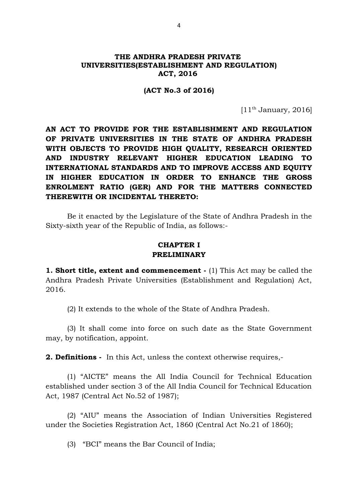#### **THE ANDHRA PRADESH PRIVATE UNIVERSITIES(ESTABLISHMENT AND REGULATION) ACT, 2016**

#### **(ACT No.3 of 2016)**

 $[11<sup>th</sup>$  January, 2016]

**AN ACT TO PROVIDE FOR THE ESTABLISHMENT AND REGULATION OF PRIVATE UNIVERSITIES IN THE STATE OF ANDHRA PRADESH WITH OBJECTS TO PROVIDE HIGH QUALITY, RESEARCH ORIENTED AND INDUSTRY RELEVANT HIGHER EDUCATION LEADING TO INTERNATIONAL STANDARDS AND TO IMPROVE ACCESS AND EQUITY IN HIGHER EDUCATION IN ORDER TO ENHANCE THE GROSS ENROLMENT RATIO (GER) AND FOR THE MATTERS CONNECTED THEREWITH OR INCIDENTAL THERETO:**

Be it enacted by the Legislature of the State of Andhra Pradesh in the Sixty-sixth year of the Republic of India, as follows:-

#### **CHAPTER I PRELIMINARY**

**1. Short title, extent and commencement - (1)** This Act may be called the Andhra Pradesh Private Universities (Establishment and Regulation) Act, 2016.

(2) It extends to the whole of the State of Andhra Pradesh.

(3) It shall come into force on such date as the State Government may, by notification, appoint.

**2. Definitions -** In this Act, unless the context otherwise requires,-

(1) "AICTE" means the All India Council for Technical Education established under section 3 of the All India Council for Technical Education Act, 1987 (Central Act No.52 of 1987);

(2) "AIU" means the Association of Indian Universities Registered under the Societies Registration Act, 1860 (Central Act No.21 of 1860);

(3) "BCI" means the Bar Council of India;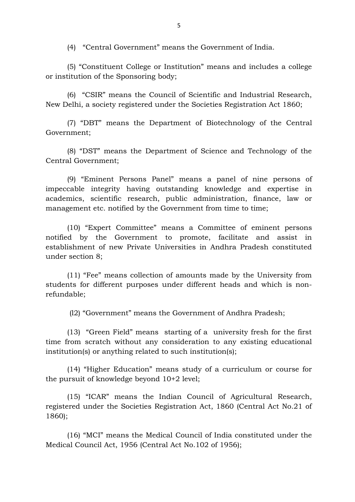(4) "Central Government" means the Government of India.

(5) "Constituent College or Institution" means and includes a college or institution of the Sponsoring body;

(6) "CSIR" means the Council of Scientific and Industrial Research, New Delhi, a society registered under the Societies Registration Act 1860;

(7) "DBT" means the Department of Biotechnology of the Central Government;

(8) "DST" means the Department of Science and Technology of the Central Government;

(9) "Eminent Persons Panel" means a panel of nine persons of impeccable integrity having outstanding knowledge and expertise in academics, scientific research, public administration, finance, law or management etc. notified by the Government from time to time;

(10) "Expert Committee" means a Committee of eminent persons notified by the Government to promote, facilitate and assist in establishment of new Private Universities in Andhra Pradesh constituted under section 8;

(11) "Fee" means collection of amounts made by the University from students for different purposes under different heads and which is nonrefundable;

(l2) "Government" means the Government of Andhra Pradesh;

(13) "Green Field" means starting of a university fresh for the first time from scratch without any consideration to any existing educational institution(s) or anything related to such institution(s);

(14) "Higher Education" means study of a curriculum or course for the pursuit of knowledge beyond 10+2 level;

(15) "ICAR" means the Indian Council of Agricultural Research, registered under the Societies Registration Act, 1860 (Central Act No.21 of 1860);

(16) "MCI" means the Medical Council of India constituted under the Medical Council Act, 1956 (Central Act No.102 of 1956);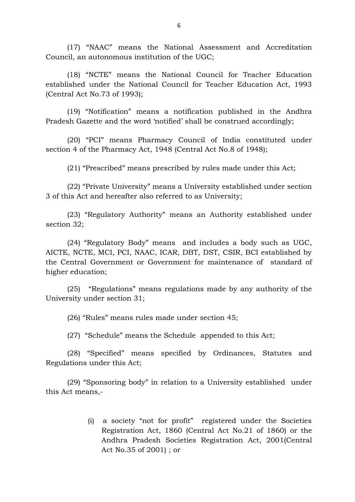(17) "NAAC" means the National Assessment and Accreditation Council, an autonomous institution of the UGC;

(18) "NCTE" means the National Council for Teacher Education established under the National Council for Teacher Education Act, 1993 (Central Act No.73 of 1993);

(19) "Notification" means a notification published in the Andhra Pradesh Gazette and the word 'notified' shall be construed accordingly;

(20) "PCI" means Pharmacy Council of India constituted under section 4 of the Pharmacy Act, 1948 (Central Act No.8 of 1948);

(21) "Prescribed" means prescribed by rules made under this Act;

(22) "Private University" means a University established under section 3 of this Act and hereafter also referred to as University;

(23) "Regulatory Authority" means an Authority established under section 32;

(24) "Regulatory Body" means and includes a body such as UGC, AICTE, NCTE, MCI, PCI, NAAC, ICAR, DBT, DST, CSIR, BCI established by the Central Government or Government for maintenance of standard of higher education;

(25) "Regulations" means regulations made by any authority of the University under section 31;

(26) "Rules" means rules made under section 45;

(27) "Schedule" means the Schedule appended to this Act;

(28) "Specified" means specified by Ordinances, Statutes and Regulations under this Act;

(29) "Sponsoring body" in relation to a University established under this Act means,-

> (i) a society "not for profit" registered under the Societies Registration Act, 1860 (Central Act No.21 of 1860) or the Andhra Pradesh Societies Registration Act, 2001(Central Act No.35 of 2001) ; or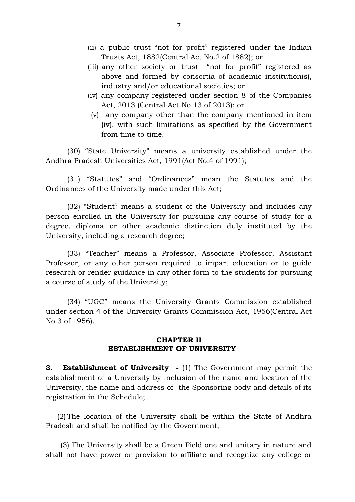- (ii) a public trust "not for profit" registered under the Indian Trusts Act, 1882(Central Act No.2 of 1882); or
- (iii) any other society or trust "not for profit" registered as above and formed by consortia of academic institution(s), industry and/or educational societies; or
- (iv) any company registered under section 8 of the Companies Act, 2013 (Central Act No.13 of 2013); or
- (v) any company other than the company mentioned in item (iv), with such limitations as specified by the Government from time to time.

(30) "State University" means a university established under the Andhra Pradesh Universities Act, 1991(Act No.4 of 1991);

(31) "Statutes" and "Ordinances" mean the Statutes and the Ordinances of the University made under this Act;

(32) "Student" means a student of the University and includes any person enrolled in the University for pursuing any course of study for a degree, diploma or other academic distinction duly instituted by the University, including a research degree;

(33) "Teacher" means a Professor, Associate Professor, Assistant Professor, or any other person required to impart education or to guide research or render guidance in any other form to the students for pursuing a course of study of the University;

(34) "UGC" means the University Grants Commission established under section 4 of the University Grants Commission Act, 1956(Central Act No.3 of 1956).

#### **CHAPTER II ESTABLISHMENT OF UNIVERSITY**

**3. Establishment of University -** (1) The Government may permit the establishment of a University by inclusion of the name and location of the University, the name and address of the Sponsoring body and details of its registration in the Schedule;

 (2) The location of the University shall be within the State of Andhra Pradesh and shall be notified by the Government;

 (3) The University shall be a Green Field one and unitary in nature and shall not have power or provision to affiliate and recognize any college or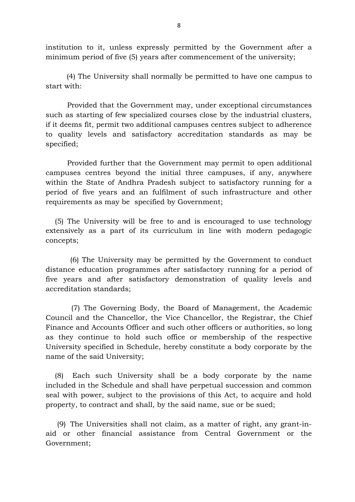institution to it, unless expressly permitted by the Government after a minimum period of five (5) years after commencement of the university;

 (4) The University shall normally be permitted to have one campus to start with:

Provided that the Government may, under exceptional circumstances such as starting of few specialized courses close by the industrial clusters, if it deems fit, permit two additional campuses centres subject to adherence to quality levels and satisfactory accreditation standards as may be specified;

Provided further that the Government may permit to open additional campuses centres beyond the initial three campuses, if any, anywhere within the State of Andhra Pradesh subject to satisfactory running for a period of five years and an fulfilment of such infrastructure and other requirements as may be specified by Government;

 (5) The University will be free to and is encouraged to use technology extensively as a part of its curriculum in line with modern pedagogic concepts;

 (6) The University may be permitted by the Government to conduct distance education programmes after satisfactory running for a period of five years and after satisfactory demonstration of quality levels and accreditation standards;

 (7) The Governing Body, the Board of Management, the Academic Council and the Chancellor, the Vice Chancellor, the Registrar, the Chief Finance and Accounts Officer and such other officers or authorities, so long as they continue to hold such office or membership of the respective University specified in Schedule, hereby constitute a body corporate by the name of the said University;

 (8) Each such University shall be a body corporate by the name included in the Schedule and shall have perpetual succession and common seal with power, subject to the provisions of this Act, to acquire and hold property, to contract and shall, by the said name, sue or be sued;

 (9) The Universities shall not claim, as a matter of right, any grant-inaid or other financial assistance from Central Government or the Government;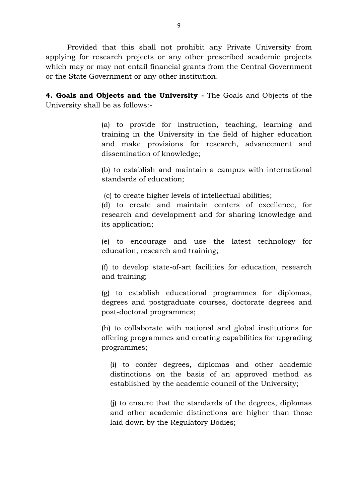Provided that this shall not prohibit any Private University from applying for research projects or any other prescribed academic projects which may or may not entail financial grants from the Central Government or the State Government or any other institution.

**4. Goals and Objects and the University -** The Goals and Objects of the University shall be as follows:-

> (a) to provide for instruction, teaching, learning and training in the University in the field of higher education and make provisions for research, advancement and dissemination of knowledge;

> (b) to establish and maintain a campus with international standards of education;

(c) to create higher levels of intellectual abilities;

(d) to create and maintain centers of excellence, for research and development and for sharing knowledge and its application;

(e) to encourage and use the latest technology for education, research and training;

(f) to develop state-of-art facilities for education, research and training;

(g) to establish educational programmes for diplomas, degrees and postgraduate courses, doctorate degrees and post-doctoral programmes;

(h) to collaborate with national and global institutions for offering programmes and creating capabilities for upgrading programmes;

(i) to confer degrees, diplomas and other academic distinctions on the basis of an approved method as established by the academic council of the University;

(j) to ensure that the standards of the degrees, diplomas and other academic distinctions are higher than those laid down by the Regulatory Bodies;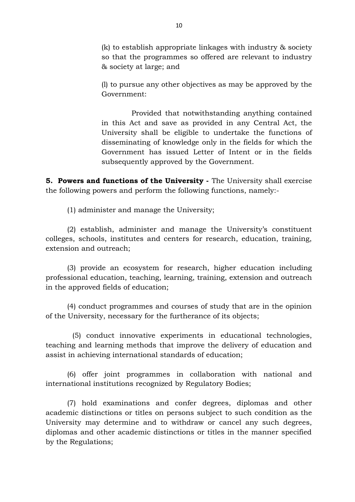(k) to establish appropriate linkages with industry & society so that the programmes so offered are relevant to industry & society at large; and

(l) to pursue any other objectives as may be approved by the Government:

Provided that notwithstanding anything contained in this Act and save as provided in any Central Act, the University shall be eligible to undertake the functions of disseminating of knowledge only in the fields for which the Government has issued Letter of Intent or in the fields subsequently approved by the Government.

**5. Powers and functions of the University -** The University shall exercise the following powers and perform the following functions, namely:-

(1) administer and manage the University;

(2) establish, administer and manage the University's constituent colleges, schools, institutes and centers for research, education, training, extension and outreach;

(3) provide an ecosystem for research, higher education including professional education, teaching, learning, training, extension and outreach in the approved fields of education;

(4) conduct programmes and courses of study that are in the opinion of the University, necessary for the furtherance of its objects;

 (5) conduct innovative experiments in educational technologies, teaching and learning methods that improve the delivery of education and assist in achieving international standards of education;

(6) offer joint programmes in collaboration with national and international institutions recognized by Regulatory Bodies;

(7) hold examinations and confer degrees, diplomas and other academic distinctions or titles on persons subject to such condition as the University may determine and to withdraw or cancel any such degrees, diplomas and other academic distinctions or titles in the manner specified by the Regulations;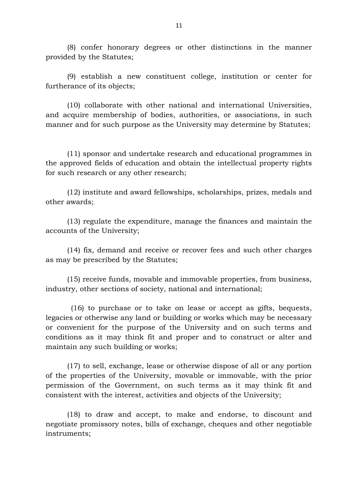(8) confer honorary degrees or other distinctions in the manner provided by the Statutes;

(9) establish a new constituent college, institution or center for furtherance of its objects;

(10) collaborate with other national and international Universities, and acquire membership of bodies, authorities, or associations, in such manner and for such purpose as the University may determine by Statutes;

(11) sponsor and undertake research and educational programmes in the approved fields of education and obtain the intellectual property rights for such research or any other research;

(12) institute and award fellowships, scholarships, prizes, medals and other awards;

(13) regulate the expenditure, manage the finances and maintain the accounts of the University;

(14) fix, demand and receive or recover fees and such other charges as may be prescribed by the Statutes;

(15) receive funds, movable and immovable properties, from business, industry, other sections of society, national and international;

 (16) to purchase or to take on lease or accept as gifts, bequests, legacies or otherwise any land or building or works which may be necessary or convenient for the purpose of the University and on such terms and conditions as it may think fit and proper and to construct or alter and maintain any such building or works;

(17) to sell, exchange, lease or otherwise dispose of all or any portion of the properties of the University, movable or immovable, with the prior permission of the Government, on such terms as it may think fit and consistent with the interest, activities and objects of the University;

(18) to draw and accept, to make and endorse, to discount and negotiate promissory notes, bills of exchange, cheques and other negotiable instruments;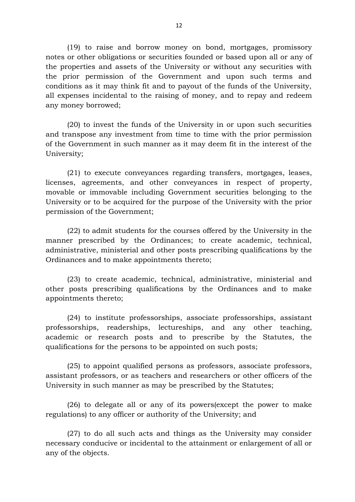(19) to raise and borrow money on bond, mortgages, promissory notes or other obligations or securities founded or based upon all or any of the properties and assets of the University or without any securities with the prior permission of the Government and upon such terms and conditions as it may think fit and to payout of the funds of the University, all expenses incidental to the raising of money, and to repay and redeem any money borrowed;

(20) to invest the funds of the University in or upon such securities and transpose any investment from time to time with the prior permission of the Government in such manner as it may deem fit in the interest of the University;

(21) to execute conveyances regarding transfers, mortgages, leases, licenses, agreements, and other conveyances in respect of property, movable or immovable including Government securities belonging to the University or to be acquired for the purpose of the University with the prior permission of the Government;

(22) to admit students for the courses offered by the University in the manner prescribed by the Ordinances; to create academic, technical, administrative, ministerial and other posts prescribing qualifications by the Ordinances and to make appointments thereto;

(23) to create academic, technical, administrative, ministerial and other posts prescribing qualifications by the Ordinances and to make appointments thereto;

(24) to institute professorships, associate professorships, assistant professorships, readerships, lectureships, and any other teaching, academic or research posts and to prescribe by the Statutes, the qualifications for the persons to be appointed on such posts;

(25) to appoint qualified persons as professors, associate professors, assistant professors, or as teachers and researchers or other officers of the University in such manner as may be prescribed by the Statutes;

(26) to delegate all or any of its powers(except the power to make regulations) to any officer or authority of the University; and

(27) to do all such acts and things as the University may consider necessary conducive or incidental to the attainment or enlargement of all or any of the objects.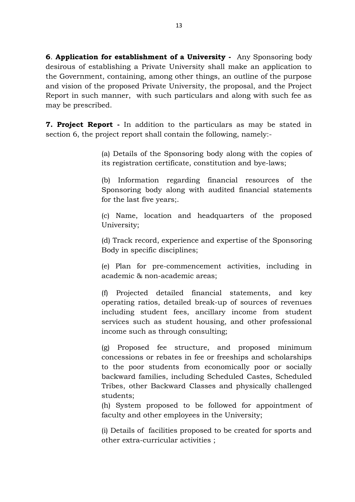**6**. **Application for establishment of a University -** Any Sponsoring body desirous of establishing a Private University shall make an application to the Government, containing, among other things, an outline of the purpose and vision of the proposed Private University, the proposal, and the Project Report in such manner, with such particulars and along with such fee as may be prescribed.

**7. Project Report -** In addition to the particulars as may be stated in section 6, the project report shall contain the following, namely:-

> (a) Details of the Sponsoring body along with the copies of its registration certificate, constitution and bye-laws;

> (b) Information regarding financial resources of the Sponsoring body along with audited financial statements for the last five years;.

> (c) Name, location and headquarters of the proposed University;

> (d) Track record, experience and expertise of the Sponsoring Body in specific disciplines;

> (e) Plan for pre-commencement activities, including in academic & non-academic areas;

> (f) Projected detailed financial statements, and key operating ratios, detailed break-up of sources of revenues including student fees, ancillary income from student services such as student housing, and other professional income such as through consulting;

> (g) Proposed fee structure, and proposed minimum concessions or rebates in fee or freeships and scholarships to the poor students from economically poor or socially backward families, including Scheduled Castes, Scheduled Tribes, other Backward Classes and physically challenged students;

> (h) System proposed to be followed for appointment of faculty and other employees in the University;

> (i) Details of facilities proposed to be created for sports and other extra-curricular activities ;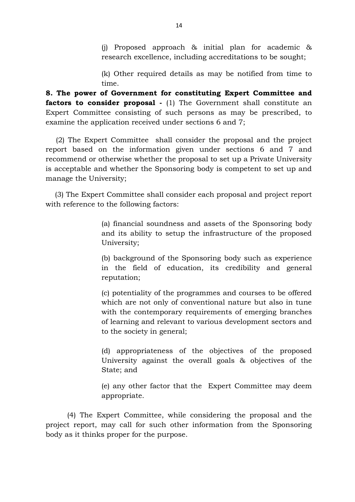(j) Proposed approach & initial plan for academic & research excellence, including accreditations to be sought;

(k) Other required details as may be notified from time to time.

**8. The power of Government for constituting Expert Committee and factors to consider proposal** - (1) The Government shall constitute an Expert Committee consisting of such persons as may be prescribed, to examine the application received under sections 6 and 7;

 (2) The Expert Committee shall consider the proposal and the project report based on the information given under sections 6 and 7 and recommend or otherwise whether the proposal to set up a Private University is acceptable and whether the Sponsoring body is competent to set up and manage the University;

 (3) The Expert Committee shall consider each proposal and project report with reference to the following factors:

> (a) financial soundness and assets of the Sponsoring body and its ability to setup the infrastructure of the proposed University;

> (b) background of the Sponsoring body such as experience in the field of education, its credibility and general reputation;

> (c) potentiality of the programmes and courses to be offered which are not only of conventional nature but also in tune with the contemporary requirements of emerging branches of learning and relevant to various development sectors and to the society in general;

> (d) appropriateness of the objectives of the proposed University against the overall goals & objectives of the State; and

> (e) any other factor that the Expert Committee may deem appropriate.

(4) The Expert Committee, while considering the proposal and the project report, may call for such other information from the Sponsoring body as it thinks proper for the purpose.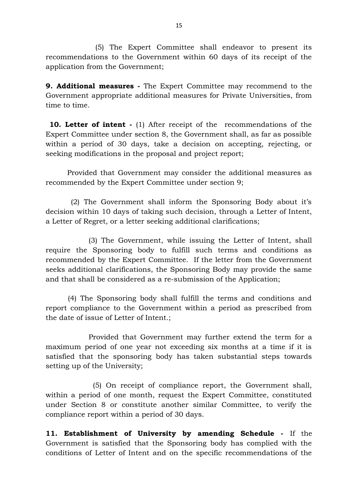(5) The Expert Committee shall endeavor to present its recommendations to the Government within 60 days of its receipt of the application from the Government;

**9. Additional measures -** The Expert Committee may recommend to the Government appropriate additional measures for Private Universities, from time to time.

**10. Letter of intent -** (1) After receipt of the recommendations of the Expert Committee under section 8, the Government shall, as far as possible within a period of 30 days, take a decision on accepting, rejecting, or seeking modifications in the proposal and project report;

Provided that Government may consider the additional measures as recommended by the Expert Committee under section 9;

 (2) The Government shall inform the Sponsoring Body about it's decision within 10 days of taking such decision, through a Letter of Intent, a Letter of Regret, or a letter seeking additional clarifications;

(3) The Government, while issuing the Letter of Intent, shall require the Sponsoring body to fulfill such terms and conditions as recommended by the Expert Committee. If the letter from the Government seeks additional clarifications, the Sponsoring Body may provide the same and that shall be considered as a re-submission of the Application;

 (4) The Sponsoring body shall fulfill the terms and conditions and report compliance to the Government within a period as prescribed from the date of issue of Letter of Intent.;

Provided that Government may further extend the term for a maximum period of one year not exceeding six months at a time if it is satisfied that the sponsoring body has taken substantial steps towards setting up of the University;

 (5) On receipt of compliance report, the Government shall, within a period of one month, request the Expert Committee, constituted under Section 8 or constitute another similar Committee, to verify the compliance report within a period of 30 days.

**11. Establishment of University by amending Schedule -** If the Government is satisfied that the Sponsoring body has complied with the conditions of Letter of Intent and on the specific recommendations of the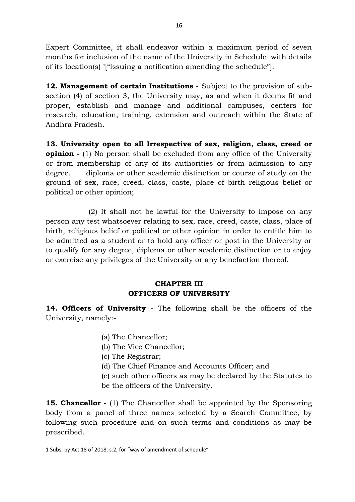Expert Committee, it shall endeavor within a maximum period of seven months for inclusion of the name of the University in Schedule with details of its location(s) [1](#page-15-0) ["issuing a notification amending the schedule"].

**12. Management of certain Institutions -** Subject to the provision of subsection (4) of section 3, the University may, as and when it deems fit and proper, establish and manage and additional campuses, centers for research, education, training, extension and outreach within the State of Andhra Pradesh.

**13. University open to all Irrespective of sex, religion, class, creed or opinion -** (1) No person shall be excluded from any office of the University or from membership of any of its authorities or from admission to any degree, diploma or other academic distinction or course of study on the ground of sex, race, creed, class, caste, place of birth religious belief or political or other opinion;

(2) It shall not be lawful for the University to impose on any person any test whatsoever relating to sex, race, creed, caste, class, place of birth, religious belief or political or other opinion in order to entitle him to be admitted as a student or to hold any officer or post in the University or to qualify for any degree, diploma or other academic distinction or to enjoy or exercise any privileges of the University or any benefaction thereof.

## **CHAPTER III OFFICERS OF UNIVERSITY**

**14. Officers of University -** The following shall be the officers of the University, namely:-

- (a) The Chancellor;
- (b) The Vice Chancellor;
- (c) The Registrar;
- (d) The Chief Finance and Accounts Officer; and
- (e) such other officers as may be declared by the Statutes to
- be the officers of the University.

**15. Chancellor -** (1) The Chancellor shall be appointed by the Sponsoring body from a panel of three names selected by a Search Committee, by following such procedure and on such terms and conditions as may be prescribed.

<span id="page-15-0"></span><sup>1</sup> Subs. by Act 18 of 2018, s.2, for "way of amendment of schedule"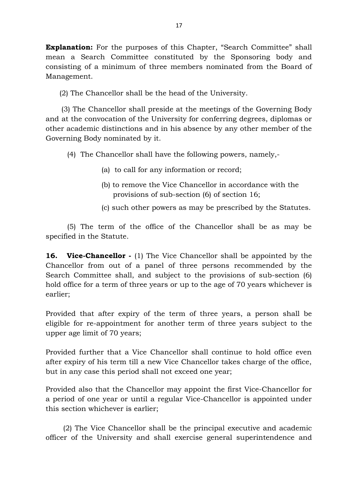**Explanation:** For the purposes of this Chapter, "Search Committee" shall mean a Search Committee constituted by the Sponsoring body and consisting of a minimum of three members nominated from the Board of Management.

(2) The Chancellor shall be the head of the University.

 (3) The Chancellor shall preside at the meetings of the Governing Body and at the convocation of the University for conferring degrees, diplomas or other academic distinctions and in his absence by any other member of the Governing Body nominated by it.

(4) The Chancellor shall have the following powers, namely,-

- (a) to call for any information or record;
- (b) to remove the Vice Chancellor in accordance with the provisions of sub-section (6) of section 16;
- (c) such other powers as may be prescribed by the Statutes.

(5) The term of the office of the Chancellor shall be as may be specified in the Statute.

**16. Vice-Chancellor** - (1) The Vice Chancellor shall be appointed by the Chancellor from out of a panel of three persons recommended by the Search Committee shall, and subject to the provisions of sub-section (6) hold office for a term of three years or up to the age of 70 years whichever is earlier;

Provided that after expiry of the term of three years, a person shall be eligible for re-appointment for another term of three years subject to the upper age limit of 70 years;

Provided further that a Vice Chancellor shall continue to hold office even after expiry of his term till a new Vice Chancellor takes charge of the office, but in any case this period shall not exceed one year;

Provided also that the Chancellor may appoint the first Vice-Chancellor for a period of one year or until a regular Vice-Chancellor is appointed under this section whichever is earlier;

 (2) The Vice Chancellor shall be the principal executive and academic officer of the University and shall exercise general superintendence and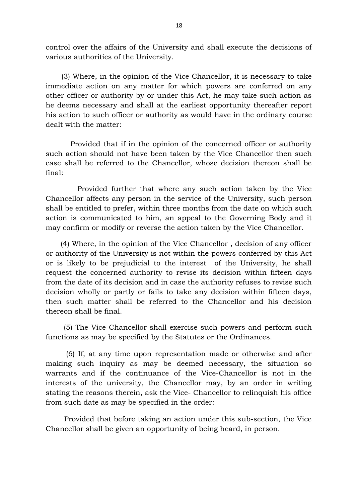control over the affairs of the University and shall execute the decisions of various authorities of the University.

 (3) Where, in the opinion of the Vice Chancellor, it is necessary to take immediate action on any matter for which powers are conferred on any other officer or authority by or under this Act, he may take such action as he deems necessary and shall at the earliest opportunity thereafter report his action to such officer or authority as would have in the ordinary course dealt with the matter:

 Provided that if in the opinion of the concerned officer or authority such action should not have been taken by the Vice Chancellor then such case shall be referred to the Chancellor, whose decision thereon shall be final:

 Provided further that where any such action taken by the Vice Chancellor affects any person in the service of the University, such person shall be entitled to prefer, within three months from the date on which such action is communicated to him, an appeal to the Governing Body and it may confirm or modify or reverse the action taken by the Vice Chancellor.

 (4) Where, in the opinion of the Vice Chancellor , decision of any officer or authority of the University is not within the powers conferred by this Act or is likely to be prejudicial to the interest of the University, he shall request the concerned authority to revise its decision within fifteen days from the date of its decision and in case the authority refuses to revise such decision wholly or partly or fails to take any decision within fifteen days, then such matter shall be referred to the Chancellor and his decision thereon shall be final.

 (5) The Vice Chancellor shall exercise such powers and perform such functions as may be specified by the Statutes or the Ordinances.

 (6) If, at any time upon representation made or otherwise and after making such inquiry as may be deemed necessary, the situation so warrants and if the continuance of the Vice-Chancellor is not in the interests of the university, the Chancellor may, by an order in writing stating the reasons therein, ask the Vice- Chancellor to relinquish his office from such date as may be specified in the order:

 Provided that before taking an action under this sub-section, the Vice Chancellor shall be given an opportunity of being heard, in person.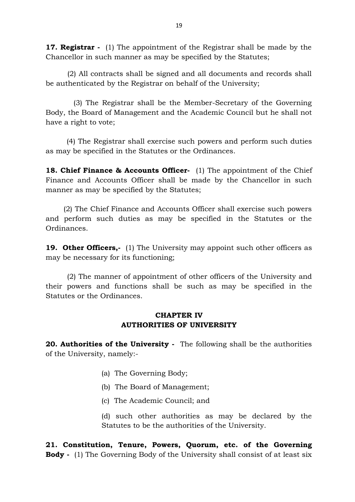**17. Registrar -** (1) The appointment of the Registrar shall be made by the Chancellor in such manner as may be specified by the Statutes;

 (2) All contracts shall be signed and all documents and records shall be authenticated by the Registrar on behalf of the University;

 (3) The Registrar shall be the Member-Secretary of the Governing Body, the Board of Management and the Academic Council but he shall not have a right to vote;

 (4) The Registrar shall exercise such powers and perform such duties as may be specified in the Statutes or the Ordinances.

**18. Chief Finance & Accounts Officer-** (1) The appointment of the Chief Finance and Accounts Officer shall be made by the Chancellor in such manner as may be specified by the Statutes;

 (2) The Chief Finance and Accounts Officer shall exercise such powers and perform such duties as may be specified in the Statutes or the Ordinances.

**19. Other Officers,-** (1) The University may appoint such other officers as may be necessary for its functioning;

 (2) The manner of appointment of other officers of the University and their powers and functions shall be such as may be specified in the Statutes or the Ordinances.

# **CHAPTER IV AUTHORITIES OF UNIVERSITY**

**20. Authorities of the University -** The following shall be the authorities of the University, namely:-

- (a) The Governing Body;
- (b) The Board of Management;
- (c) The Academic Council; and

(d) such other authorities as may be declared by the Statutes to be the authorities of the University.

**21. Constitution, Tenure, Powers, Quorum, etc. of the Governing Body -** (1) The Governing Body of the University shall consist of at least six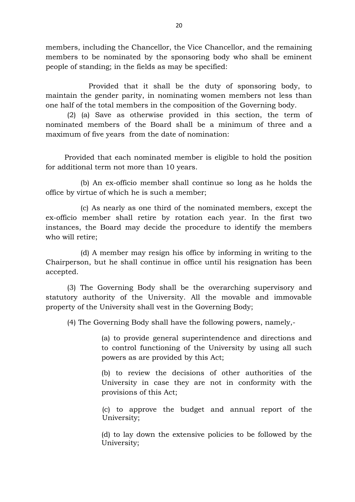members, including the Chancellor, the Vice Chancellor, and the remaining members to be nominated by the sponsoring body who shall be eminent people of standing; in the fields as may be specified:

Provided that it shall be the duty of sponsoring body, to maintain the gender parity, in nominating women members not less than one half of the total members in the composition of the Governing body.

(2) (a) Save as otherwise provided in this section, the term of nominated members of the Board shall be a minimum of three and a maximum of five years from the date of nomination:

Provided that each nominated member is eligible to hold the position for additional term not more than 10 years.

(b) An ex-officio member shall continue so long as he holds the office by virtue of which he is such a member;

(c) As nearly as one third of the nominated members, except the ex-officio member shall retire by rotation each year. In the first two instances, the Board may decide the procedure to identify the members who will retire;

(d) A member may resign his office by informing in writing to the Chairperson, but he shall continue in office until his resignation has been accepted.

(3) The Governing Body shall be the overarching supervisory and statutory authority of the University. All the movable and immovable property of the University shall vest in the Governing Body;

(4) The Governing Body shall have the following powers, namely,-

(a) to provide general superintendence and directions and to control functioning of the University by using all such powers as are provided by this Act;

(b) to review the decisions of other authorities of the University in case they are not in conformity with the provisions of this Act;

(c) to approve the budget and annual report of the University;

(d) to lay down the extensive policies to be followed by the University;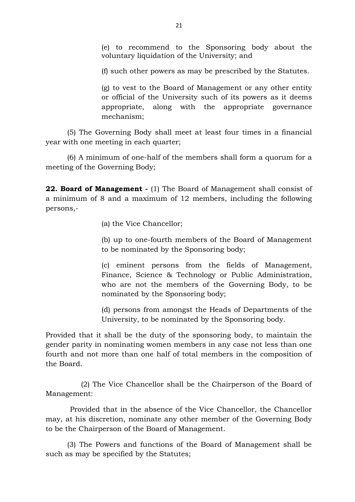(e) to recommend to the Sponsoring body about the voluntary liquidation of the University; and

(f) such other powers as may be prescribed by the Statutes.

(g) to vest to the Board of Management or any other entity or official of the University such of its powers as it deems appropriate, along with the appropriate governance mechanism;

(5) The Governing Body shall meet at least four times in a financial year with one meeting in each quarter;

(6) A minimum of one-half of the members shall form a quorum for a meeting of the Governing Body;

**22. Board of Management -** (1) The Board of Management shall consist of a minimum of 8 and a maximum of 12 members, including the following persons,-

(a) the Vice Chancellor;

(b) up to one-fourth members of the Board of Management to be nominated by the Sponsoring body;

(c) eminent persons from the fields of Management, Finance, Science & Technology or Public Administration, who are not the members of the Governing Body, to be nominated by the Sponsoring body;

(d) persons from amongst the Heads of Departments of the University, to be nominated by the Sponsoring body.

Provided that it shall be the duty of the sponsoring body, to maintain the gender parity in nominating women members in any case not less than one fourth and not more than one half of total members in the composition of the Board.

 (2) The Vice Chancellor shall be the Chairperson of the Board of Management:

 Provided that in the absence of the Vice Chancellor, the Chancellor may, at his discretion, nominate any other member of the Governing Body to be the Chairperson of the Board of Management.

(3) The Powers and functions of the Board of Management shall be such as may be specified by the Statutes;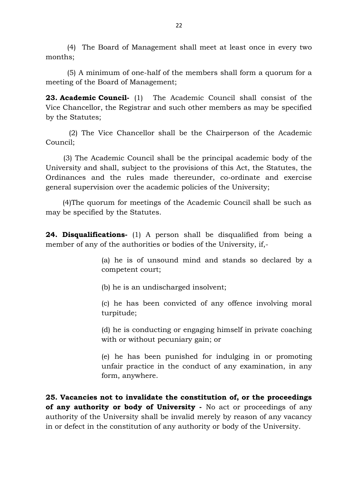(4) The Board of Management shall meet at least once in every two months;

(5) A minimum of one-half of the members shall form a quorum for a meeting of the Board of Management;

**23. Academic Council-** (1) The Academic Council shall consist of the Vice Chancellor, the Registrar and such other members as may be specified by the Statutes;

 (2) The Vice Chancellor shall be the Chairperson of the Academic Council;

 (3) The Academic Council shall be the principal academic body of the University and shall, subject to the provisions of this Act, the Statutes, the Ordinances and the rules made thereunder, co-ordinate and exercise general supervision over the academic policies of the University;

 (4)The quorum for meetings of the Academic Council shall be such as may be specified by the Statutes.

**24. Disqualifications-** (1) A person shall be disqualified from being a member of any of the authorities or bodies of the University, if,-

> (a) he is of unsound mind and stands so declared by a competent court;

(b) he is an undischarged insolvent;

(c) he has been convicted of any offence involving moral turpitude;

(d) he is conducting or engaging himself in private coaching with or without pecuniary gain; or

(e) he has been punished for indulging in or promoting unfair practice in the conduct of any examination, in any form, anywhere.

**25. Vacancies not to invalidate the constitution of, or the proceedings of any authority or body of University -** No act or proceedings of any authority of the University shall be invalid merely by reason of any vacancy in or defect in the constitution of any authority or body of the University.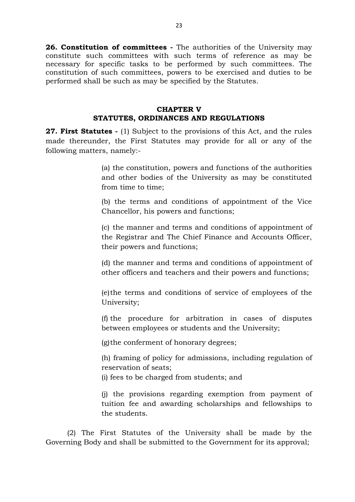**26. Constitution of committees -** The authorities of the University may constitute such committees with such terms of reference as may be necessary for specific tasks to be performed by such committees. The constitution of such committees, powers to be exercised and duties to be performed shall be such as may be specified by the Statutes.

## **CHAPTER V STATUTES, ORDINANCES AND REGULATIONS**

**27. First Statutes -** (1) Subject to the provisions of this Act, and the rules made thereunder, the First Statutes may provide for all or any of the following matters, namely:-

> (a) the constitution, powers and functions of the authorities and other bodies of the University as may be constituted from time to time;

> (b) the terms and conditions of appointment of the Vice Chancellor, his powers and functions;

> (c) the manner and terms and conditions of appointment of the Registrar and The Chief Finance and Accounts Officer, their powers and functions;

> (d) the manner and terms and conditions of appointment of other officers and teachers and their powers and functions;

> (e)the terms and conditions of service of employees of the University;

> (f) the procedure for arbitration in cases of disputes between employees or students and the University;

(g)the conferment of honorary degrees;

(h) framing of policy for admissions, including regulation of reservation of seats;

(i) fees to be charged from students; and

(j) the provisions regarding exemption from payment of tuition fee and awarding scholarships and fellowships to the students.

(2) The First Statutes of the University shall be made by the Governing Body and shall be submitted to the Government for its approval;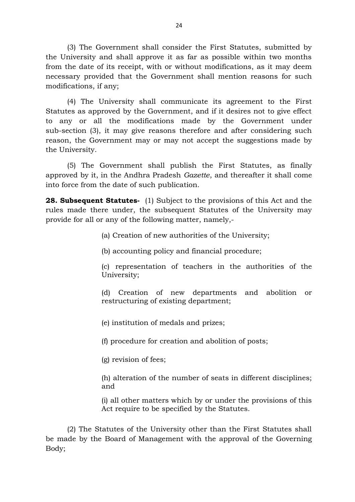(3) The Government shall consider the First Statutes, submitted by the University and shall approve it as far as possible within two months from the date of its receipt, with or without modifications, as it may deem necessary provided that the Government shall mention reasons for such modifications, if any;

(4) The University shall communicate its agreement to the First Statutes as approved by the Government, and if it desires not to give effect to any or all the modifications made by the Government under sub-section (3), it may give reasons therefore and after considering such reason, the Government may or may not accept the suggestions made by the University.

(5) The Government shall publish the First Statutes, as finally approved by it, in the Andhra Pradesh *Gazette*, and thereafter it shall come into force from the date of such publication.

**28. Subsequent Statutes-** (1) Subject to the provisions of this Act and the rules made there under, the subsequent Statutes of the University may provide for all or any of the following matter, namely,-

(a) Creation of new authorities of the University;

(b) accounting policy and financial procedure;

(c) representation of teachers in the authorities of the University;

(d) Creation of new departments and abolition or restructuring of existing department;

(e) institution of medals and prizes;

(f) procedure for creation and abolition of posts;

(g) revision of fees;

(h) alteration of the number of seats in different disciplines; and

(i) all other matters which by or under the provisions of this Act require to be specified by the Statutes.

(2) The Statutes of the University other than the First Statutes shall be made by the Board of Management with the approval of the Governing Body;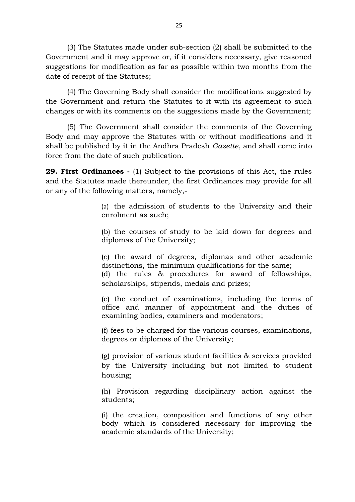(3) The Statutes made under sub-section (2) shall be submitted to the Government and it may approve or, if it considers necessary, give reasoned suggestions for modification as far as possible within two months from the date of receipt of the Statutes;

(4) The Governing Body shall consider the modifications suggested by the Government and return the Statutes to it with its agreement to such changes or with its comments on the suggestions made by the Government;

(5) The Government shall consider the comments of the Governing Body and may approve the Statutes with or without modifications and it shall be published by it in the Andhra Pradesh *Gazette*, and shall come into force from the date of such publication.

**29. First Ordinances -** (1) Subject to the provisions of this Act, the rules and the Statutes made thereunder, the first Ordinances may provide for all or any of the following matters, namely,-

> (a) the admission of students to the University and their enrolment as such;

> (b) the courses of study to be laid down for degrees and diplomas of the University;

> (c) the award of degrees, diplomas and other academic distinctions, the minimum qualifications for the same;

> (d) the rules & procedures for award of fellowships, scholarships, stipends, medals and prizes;

> (e) the conduct of examinations, including the terms of office and manner of appointment and the duties of examining bodies, examiners and moderators;

> (f) fees to be charged for the various courses, examinations, degrees or diplomas of the University;

> (g) provision of various student facilities & services provided by the University including but not limited to student housing;

> (h) Provision regarding disciplinary action against the students;

> (i) the creation, composition and functions of any other body which is considered necessary for improving the academic standards of the University;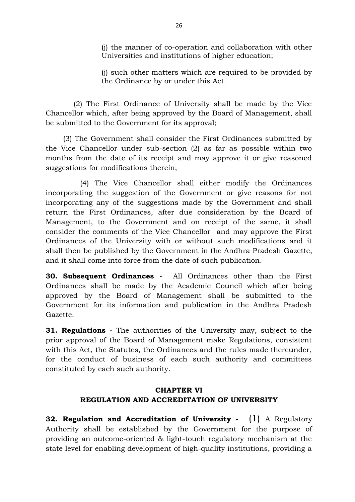(j) the manner of co-operation and collaboration with other Universities and institutions of higher education;

(j) such other matters which are required to be provided by the Ordinance by or under this Act.

 (2) The First Ordinance of University shall be made by the Vice Chancellor which, after being approved by the Board of Management, shall be submitted to the Government for its approval;

 (3) The Government shall consider the First Ordinances submitted by the Vice Chancellor under sub-section (2) as far as possible within two months from the date of its receipt and may approve it or give reasoned suggestions for modifications therein;

 (4) The Vice Chancellor shall either modify the Ordinances incorporating the suggestion of the Government or give reasons for not incorporating any of the suggestions made by the Government and shall return the First Ordinances, after due consideration by the Board of Management, to the Government and on receipt of the same, it shall consider the comments of the Vice Chancellor and may approve the First Ordinances of the University with or without such modifications and it shall then be published by the Government in the Andhra Pradesh Gazette, and it shall come into force from the date of such publication.

**30. Subsequent Ordinances -** All Ordinances other than the First Ordinances shall be made by the Academic Council which after being approved by the Board of Management shall be submitted to the Government for its information and publication in the Andhra Pradesh Gazette.

**31. Regulations** - The authorities of the University may, subject to the prior approval of the Board of Management make Regulations, consistent with this Act, the Statutes, the Ordinances and the rules made thereunder, for the conduct of business of each such authority and committees constituted by each such authority.

# **CHAPTER VI REGULATION AND ACCREDITATION OF UNIVERSITY**

**32. Regulation and Accreditation of University -** (1) A Regulatory Authority shall be established by the Government for the purpose of providing an outcome-oriented & light-touch regulatory mechanism at the state level for enabling development of high-quality institutions, providing a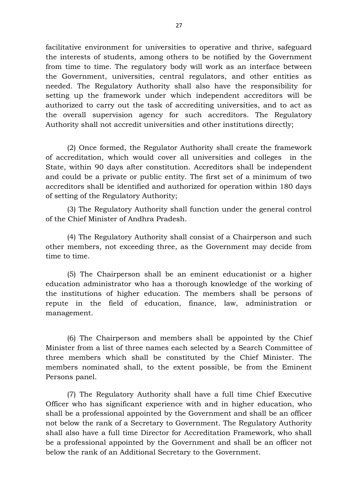facilitative environment for universities to operative and thrive, safeguard the interests of students, among others to be notified by the Government from time to time. The regulatory body will work as an interface between the Government, universities, central regulators, and other entities as needed. The Regulatory Authority shall also have the responsibility for setting up the framework under which independent accreditors will be authorized to carry out the task of accrediting universities, and to act as the overall supervision agency for such accreditors. The Regulatory Authority shall not accredit universities and other institutions directly;

(2) Once formed, the Regulator Authority shall create the framework of accreditation, which would cover all universities and colleges in the State, within 90 days after constitution. Accreditors shall be independent and could be a private or public entity. The first set of a minimum of two accreditors shall be identified and authorized for operation within 180 days of setting of the Regulatory Authority;

(3) The Regulatory Authority shall function under the general control of the Chief Minister of Andhra Pradesh.

(4) The Regulatory Authority shall consist of a Chairperson and such other members, not exceeding three, as the Government may decide from time to time.

(5) The Chairperson shall be an eminent educationist or a higher education administrator who has a thorough knowledge of the working of the institutions of higher education. The members shall be persons of repute in the field of education, finance, law, administration or management.

(6) The Chairperson and members shall be appointed by the Chief Minister from a list of three names each selected by a Search Committee of three members which shall be constituted by the Chief Minister. The members nominated shall, to the extent possible, be from the Eminent Persons panel.

(7) The Regulatory Authority shall have a full time Chief Executive Officer who has significant experience with and in higher education, who shall be a professional appointed by the Government and shall be an officer not below the rank of a Secretary to Government. The Regulatory Authority shall also have a full time Director for Accreditation Framework, who shall be a professional appointed by the Government and shall be an officer not below the rank of an Additional Secretary to the Government.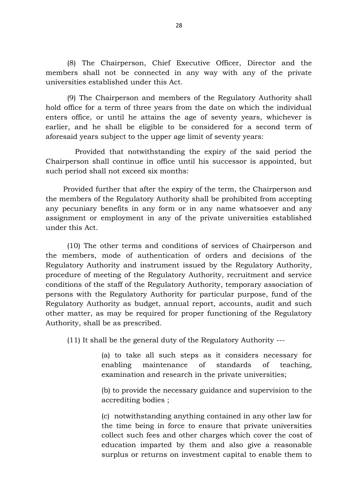(8) The Chairperson, Chief Executive Officer, Director and the members shall not be connected in any way with any of the private universities established under this Act.

(9) The Chairperson and members of the Regulatory Authority shall hold office for a term of three years from the date on which the individual enters office, or until he attains the age of seventy years, whichever is earlier, and he shall be eligible to be considered for a second term of aforesaid years subject to the upper age limit of seventy years:

 Provided that notwithstanding the expiry of the said period the Chairperson shall continue in office until his successor is appointed, but such period shall not exceed six months:

 Provided further that after the expiry of the term, the Chairperson and the members of the Regulatory Authority shall be prohibited from accepting any pecuniary benefits in any form or in any name whatsoever and any assignment or employment in any of the private universities established under this Act.

(10) The other terms and conditions of services of Chairperson and the members, mode of authentication of orders and decisions of the Regulatory Authority and instrument issued by the Regulatory Authority, procedure of meeting of the Regulatory Authority, recruitment and service conditions of the staff of the Regulatory Authority, temporary association of persons with the Regulatory Authority for particular purpose, fund of the Regulatory Authority as budget, annual report, accounts, audit and such other matter, as may be required for proper functioning of the Regulatory Authority, shall be as prescribed.

(11) It shall be the general duty of the Regulatory Authority ---

(a) to take all such steps as it considers necessary for enabling maintenance of standards of teaching, examination and research in the private universities;

(b) to provide the necessary guidance and supervision to the accrediting bodies ;

(c) notwithstanding anything contained in any other law for the time being in force to ensure that private universities collect such fees and other charges which cover the cost of education imparted by them and also give a reasonable surplus or returns on investment capital to enable them to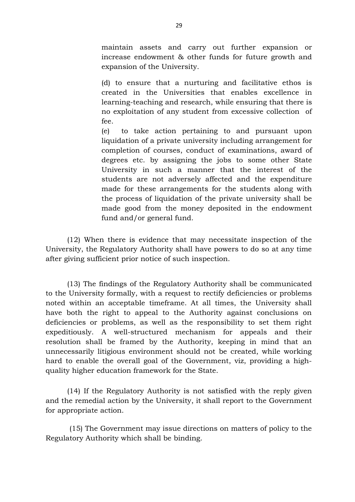maintain assets and carry out further expansion or increase endowment & other funds for future growth and expansion of the University.

(d) to ensure that a nurturing and facilitative ethos is created in the Universities that enables excellence in learning-teaching and research, while ensuring that there is no exploitation of any student from excessive collection of fee.

(e) to take action pertaining to and pursuant upon liquidation of a private university including arrangement for completion of courses, conduct of examinations, award of degrees etc. by assigning the jobs to some other State University in such a manner that the interest of the students are not adversely affected and the expenditure made for these arrangements for the students along with the process of liquidation of the private university shall be made good from the money deposited in the endowment fund and/or general fund.

(12) When there is evidence that may necessitate inspection of the University, the Regulatory Authority shall have powers to do so at any time after giving sufficient prior notice of such inspection.

(13) The findings of the Regulatory Authority shall be communicated to the University formally, with a request to rectify deficiencies or problems noted within an acceptable timeframe. At all times, the University shall have both the right to appeal to the Authority against conclusions on deficiencies or problems, as well as the responsibility to set them right expeditiously. A well-structured mechanism for appeals and their resolution shall be framed by the Authority, keeping in mind that an unnecessarily litigious environment should not be created, while working hard to enable the overall goal of the Government, viz, providing a highquality higher education framework for the State.

(14) If the Regulatory Authority is not satisfied with the reply given and the remedial action by the University, it shall report to the Government for appropriate action.

 (15) The Government may issue directions on matters of policy to the Regulatory Authority which shall be binding.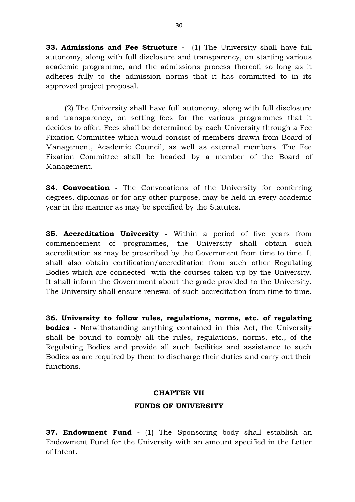**33. Admissions and Fee Structure -** (1) The University shall have full autonomy, along with full disclosure and transparency, on starting various academic programme, and the admissions process thereof, so long as it adheres fully to the admission norms that it has committed to in its approved project proposal.

 (2) The University shall have full autonomy, along with full disclosure and transparency, on setting fees for the various programmes that it decides to offer. Fees shall be determined by each University through a Fee Fixation Committee which would consist of members drawn from Board of Management, Academic Council, as well as external members. The Fee Fixation Committee shall be headed by a member of the Board of Management.

**34. Convocation -** The Convocations of the University for conferring degrees, diplomas or for any other purpose, may be held in every academic year in the manner as may be specified by the Statutes.

**35. Accreditation University -** Within a period of five years from commencement of programmes, the University shall obtain such accreditation as may be prescribed by the Government from time to time. It shall also obtain certification/accreditation from such other Regulating Bodies which are connected with the courses taken up by the University. It shall inform the Government about the grade provided to the University. The University shall ensure renewal of such accreditation from time to time.

**36. University to follow rules, regulations, norms, etc. of regulating bodies** - Notwithstanding anything contained in this Act, the University shall be bound to comply all the rules, regulations, norms, etc., of the Regulating Bodies and provide all such facilities and assistance to such Bodies as are required by them to discharge their duties and carry out their functions.

# **CHAPTER VII FUNDS OF UNIVERSITY**

**37. Endowment Fund -** (1) The Sponsoring body shall establish an Endowment Fund for the University with an amount specified in the Letter of Intent.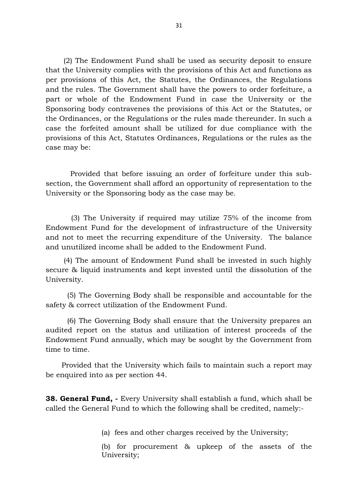(2) The Endowment Fund shall be used as security deposit to ensure that the University complies with the provisions of this Act and functions as per provisions of this Act, the Statutes, the Ordinances, the Regulations and the rules. The Government shall have the powers to order forfeiture, a part or whole of the Endowment Fund in case the University or the Sponsoring body contravenes the provisions of this Act or the Statutes, or the Ordinances, or the Regulations or the rules made thereunder. In such a case the forfeited amount shall be utilized for due compliance with the provisions of this Act, Statutes Ordinances, Regulations or the rules as the case may be:

 Provided that before issuing an order of forfeiture under this subsection, the Government shall afford an opportunity of representation to the University or the Sponsoring body as the case may be.

 (3) The University if required may utilize 75% of the income from Endowment Fund for the development of infrastructure of the University and not to meet the recurring expenditure of the University. The balance and unutilized income shall be added to the Endowment Fund.

 (4) The amount of Endowment Fund shall be invested in such highly secure & liquid instruments and kept invested until the dissolution of the University.

(5) The Governing Body shall be responsible and accountable for the safety & correct utilization of the Endowment Fund.

(6) The Governing Body shall ensure that the University prepares an audited report on the status and utilization of interest proceeds of the Endowment Fund annually, which may be sought by the Government from time to time.

 Provided that the University which fails to maintain such a report may be enquired into as per section 44.

**38. General Fund, -** Every University shall establish a fund, which shall be called the General Fund to which the following shall be credited, namely:-

(a) fees and other charges received by the University;

(b) for procurement & upkeep of the assets of the University;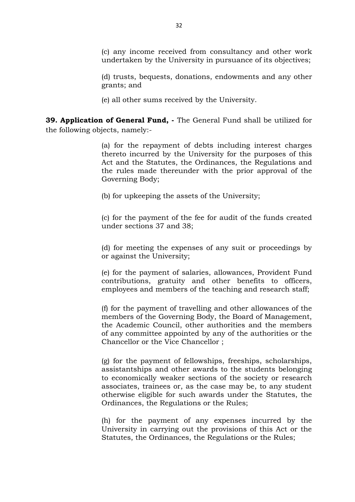(d) trusts, bequests, donations, endowments and any other grants; and

(e) all other sums received by the University.

**39. Application of General Fund, -** The General Fund shall be utilized for the following objects, namely:-

> (a) for the repayment of debts including interest charges thereto incurred by the University for the purposes of this Act and the Statutes, the Ordinances, the Regulations and the rules made thereunder with the prior approval of the Governing Body;

(b) for upkeeping the assets of the University;

(c) for the payment of the fee for audit of the funds created under sections 37 and 38;

(d) for meeting the expenses of any suit or proceedings by or against the University;

(e) for the payment of salaries, allowances, Provident Fund contributions, gratuity and other benefits to officers, employees and members of the teaching and research staff;

(f) for the payment of travelling and other allowances of the members of the Governing Body, the Board of Management, the Academic Council, other authorities and the members of any committee appointed by any of the authorities or the Chancellor or the Vice Chancellor ;

(g) for the payment of fellowships, freeships, scholarships, assistantships and other awards to the students belonging to economically weaker sections of the society or research associates, trainees or, as the case may be, to any student otherwise eligible for such awards under the Statutes, the Ordinances, the Regulations or the Rules;

(h) for the payment of any expenses incurred by the University in carrying out the provisions of this Act or the Statutes, the Ordinances, the Regulations or the Rules;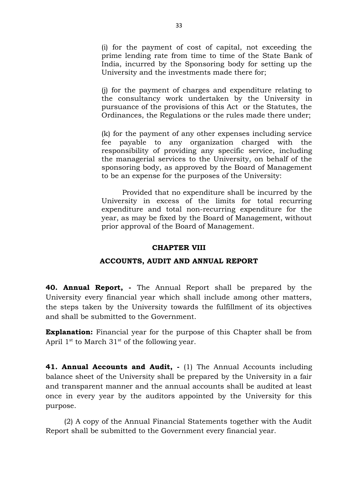(i) for the payment of cost of capital, not exceeding the prime lending rate from time to time of the State Bank of India, incurred by the Sponsoring body for setting up the University and the investments made there for;

(j) for the payment of charges and expenditure relating to the consultancy work undertaken by the University in pursuance of the provisions of this Act or the Statutes, the Ordinances, the Regulations or the rules made there under;

(k) for the payment of any other expenses including service fee payable to any organization charged with the responsibility of providing any specific service, including the managerial services to the University, on behalf of the sponsoring body, as approved by the Board of Management to be an expense for the purposes of the University:

 Provided that no expenditure shall be incurred by the University in excess of the limits for total recurring expenditure and total non-recurring expenditure for the year, as may be fixed by the Board of Management, without prior approval of the Board of Management.

#### **CHAPTER VIII**

#### **ACCOUNTS, AUDIT AND ANNUAL REPORT**

**40. Annual Report, -** The Annual Report shall be prepared by the University every financial year which shall include among other matters, the steps taken by the University towards the fulfillment of its objectives and shall be submitted to the Government.

**Explanation:** Financial year for the purpose of this Chapter shall be from April  $1^{st}$  to March  $31^{st}$  of the following year.

**41. Annual Accounts and Audit, -** (1) The Annual Accounts including balance sheet of the University shall be prepared by the University in a fair and transparent manner and the annual accounts shall be audited at least once in every year by the auditors appointed by the University for this purpose.

 (2) A copy of the Annual Financial Statements together with the Audit Report shall be submitted to the Government every financial year.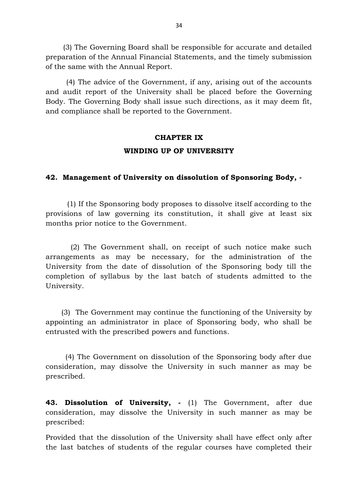(3) The Governing Board shall be responsible for accurate and detailed preparation of the Annual Financial Statements, and the timely submission of the same with the Annual Report.

 (4) The advice of the Government, if any, arising out of the accounts and audit report of the University shall be placed before the Governing Body. The Governing Body shall issue such directions, as it may deem fit, and compliance shall be reported to the Government.

# **CHAPTER IX WINDING UP OF UNIVERSITY**

## **42. Management of University on dissolution of Sponsoring Body, -**

(1) If the Sponsoring body proposes to dissolve itself according to the provisions of law governing its constitution, it shall give at least six months prior notice to the Government.

 (2) The Government shall, on receipt of such notice make such arrangements as may be necessary, for the administration of the University from the date of dissolution of the Sponsoring body till the completion of syllabus by the last batch of students admitted to the University.

 (3) The Government may continue the functioning of the University by appointing an administrator in place of Sponsoring body, who shall be entrusted with the prescribed powers and functions.

 (4) The Government on dissolution of the Sponsoring body after due consideration, may dissolve the University in such manner as may be prescribed.

**43. Dissolution of University, -** (1) The Government, after due consideration, may dissolve the University in such manner as may be prescribed:

Provided that the dissolution of the University shall have effect only after the last batches of students of the regular courses have completed their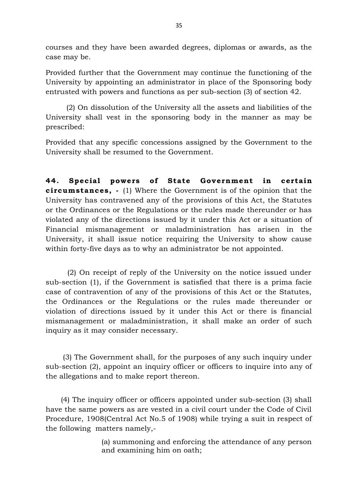courses and they have been awarded degrees, diplomas or awards, as the case may be.

Provided further that the Government may continue the functioning of the University by appointing an administrator in place of the Sponsoring body entrusted with powers and functions as per sub-section (3) of section 42.

 (2) On dissolution of the University all the assets and liabilities of the University shall vest in the sponsoring body in the manner as may be prescribed:

Provided that any specific concessions assigned by the Government to the University shall be resumed to the Government.

44. Special powers of State Government in certain **circumstances,** - (1) Where the Government is of the opinion that the University has contravened any of the provisions of this Act, the Statutes or the Ordinances or the Regulations or the rules made thereunder or has violated any of the directions issued by it under this Act or a situation of Financial mismanagement or maladministration has arisen in the University, it shall issue notice requiring the University to show cause within forty-five days as to why an administrator be not appointed.

 (2) On receipt of reply of the University on the notice issued under sub-section (1), if the Government is satisfied that there is a prima facie case of contravention of any of the provisions of this Act or the Statutes, the Ordinances or the Regulations or the rules made thereunder or violation of directions issued by it under this Act or there is financial mismanagement or maladministration, it shall make an order of such inquiry as it may consider necessary.

 (3) The Government shall, for the purposes of any such inquiry under sub-section (2), appoint an inquiry officer or officers to inquire into any of the allegations and to make report thereon.

 (4) The inquiry officer or officers appointed under sub-section (3) shall have the same powers as are vested in a civil court under the Code of Civil Procedure, 1908(Central Act No.5 of 1908) while trying a suit in respect of the following matters namely,-

> (a) summoning and enforcing the attendance of any person and examining him on oath;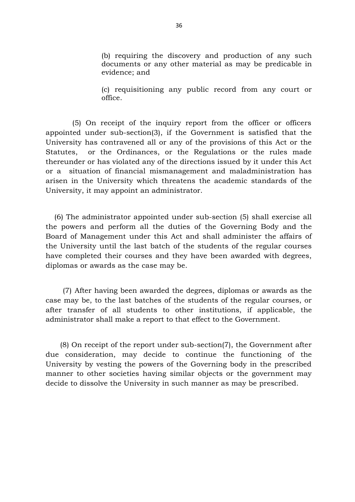(b) requiring the discovery and production of any such documents or any other material as may be predicable in evidence; and

(c) requisitioning any public record from any court or office.

 (5) On receipt of the inquiry report from the officer or officers appointed under sub-section(3), if the Government is satisfied that the University has contravened all or any of the provisions of this Act or the Statutes, or the Ordinances, or the Regulations or the rules made thereunder or has violated any of the directions issued by it under this Act or a situation of financial mismanagement and maladministration has arisen in the University which threatens the academic standards of the University, it may appoint an administrator.

 (6) The administrator appointed under sub-section (5) shall exercise all the powers and perform all the duties of the Governing Body and the Board of Management under this Act and shall administer the affairs of the University until the last batch of the students of the regular courses have completed their courses and they have been awarded with degrees, diplomas or awards as the case may be.

 (7) After having been awarded the degrees, diplomas or awards as the case may be, to the last batches of the students of the regular courses, or after transfer of all students to other institutions, if applicable, the administrator shall make a report to that effect to the Government.

 (8) On receipt of the report under sub-section(7), the Government after due consideration, may decide to continue the functioning of the University by vesting the powers of the Governing body in the prescribed manner to other societies having similar objects or the government may decide to dissolve the University in such manner as may be prescribed.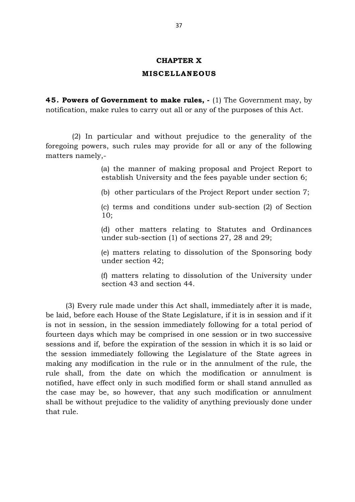#### **CHAPTER X**

#### **MISCELLANEOUS**

**45 . Powers of Government to make rules, -** (1) The Government may, by notification, make rules to carry out all or any of the purposes of this Act.

 (2) In particular and without prejudice to the generality of the foregoing powers, such rules may provide for all or any of the following matters namely,-

> (a) the manner of making proposal and Project Report to establish University and the fees payable under section 6;

(b) other particulars of the Project Report under section 7;

(c) terms and conditions under sub-section (2) of Section 10;

(d) other matters relating to Statutes and Ordinances under sub-section (1) of sections 27, 28 and 29;

(e) matters relating to dissolution of the Sponsoring body under section 42;

(f) matters relating to dissolution of the University under section 43 and section 44.

 (3) Every rule made under this Act shall, immediately after it is made, be laid, before each House of the State Legislature, if it is in session and if it is not in session, in the session immediately following for a total period of fourteen days which may be comprised in one session or in two successive sessions and if, before the expiration of the session in which it is so laid or the session immediately following the Legislature of the State agrees in making any modification in the rule or in the annulment of the rule, the rule shall, from the date on which the modification or annulment is notified, have effect only in such modified form or shall stand annulled as the case may be, so however, that any such modification or annulment shall be without prejudice to the validity of anything previously done under that rule.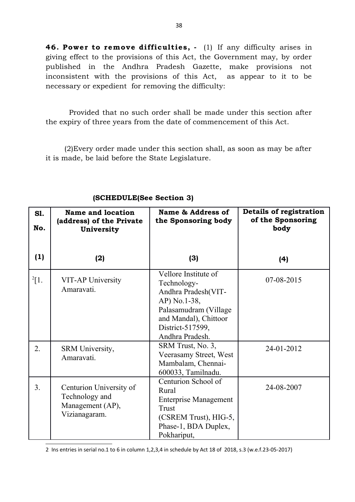46. Power to remove difficulties, - (1) If any difficulty arises in giving effect to the provisions of this Act, the Government may, by order published in the Andhra Pradesh Gazette, make provisions not inconsistent with the provisions of this Act, as appear to it to be necessary or expedient for removing the difficulty:

 Provided that no such order shall be made under this section after the expiry of three years from the date of commencement of this Act.

 (2)Every order made under this section shall, as soon as may be after it is made, be laid before the State Legislature.

| <b>S1.</b><br>No. | Name and location<br>(address) of the Private<br>University                    | Name & Address of<br>the Sponsoring body                                                                                                                            | Details of registration<br>of the Sponsoring<br>body |
|-------------------|--------------------------------------------------------------------------------|---------------------------------------------------------------------------------------------------------------------------------------------------------------------|------------------------------------------------------|
| (1)               | (2)                                                                            | (3)                                                                                                                                                                 | (4)                                                  |
| $^{2}$ [1.        | VIT-AP University<br>Amaravati.                                                | Vellore Institute of<br>Technology-<br>Andhra Pradesh(VIT-<br>AP) No.1-38,<br>Palasamudram (Village<br>and Mandal), Chittoor<br>District-517599,<br>Andhra Pradesh. | 07-08-2015                                           |
| 2.                | SRM University,<br>Amaravati.                                                  | SRM Trust, No. 3,<br>Veerasamy Street, West<br>Mambalam, Chennai-<br>600033, Tamilnadu.                                                                             | 24-01-2012                                           |
| 3.                | Centurion University of<br>Technology and<br>Management (AP),<br>Vizianagaram. | Centurion School of<br>Rural<br><b>Enterprise Management</b><br><b>Trust</b><br>(CSREM Trust), HIG-5,<br>Phase-1, BDA Duplex,<br>Pokhariput,                        | 24-08-2007                                           |

## **(SCHEDULE(See Section 3)**

<span id="page-37-0"></span>2 Ins entries in serial no.1 to 6 in column 1,2,3,4 in schedule by Act 18 of 2018, s.3 (w.e.f.23-05-2017)